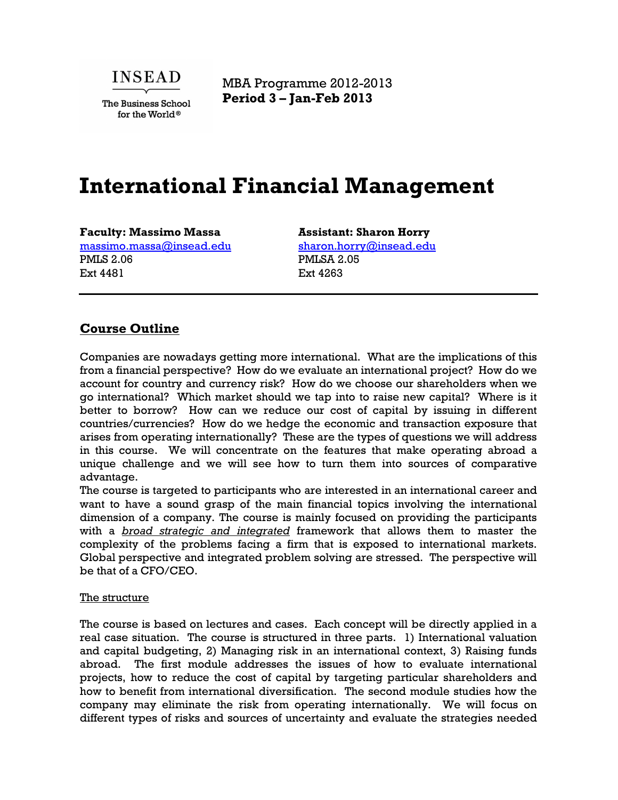

The Business School for the World®

MBA Programme 2012-2013 **Period 3 – Jan-Feb 2013**

# **International Financial Management**

**Faculty: Massimo Massa** massimo.massa@insead.edu PMLS 2.06 Ext 4481

**Assistant: Sharon Horry** sharon.horry@insead.edu PMLSA 2.05 Ext 4263

# **Course Outline**

Companies are nowadays getting more international. What are the implications of this from a financial perspective? How do we evaluate an international project? How do we account for country and currency risk? How do we choose our shareholders when we go international? Which market should we tap into to raise new capital? Where is it better to borrow? How can we reduce our cost of capital by issuing in different countries/currencies? How do we hedge the economic and transaction exposure that arises from operating internationally? These are the types of questions we will address in this course. We will concentrate on the features that make operating abroad a unique challenge and we will see how to turn them into sources of comparative advantage.

The course is targeted to participants who are interested in an international career and want to have a sound grasp of the main financial topics involving the international dimension of a company. The course is mainly focused on providing the participants with a *broad strategic and integrated* framework that allows them to master the complexity of the problems facing a firm that is exposed to international markets. Global perspective and integrated problem solving are stressed. The perspective will be that of a CFO/CEO.

#### The structure

The course is based on lectures and cases. Each concept will be directly applied in a real case situation. The course is structured in three parts. 1) International valuation and capital budgeting, 2) Managing risk in an international context, 3) Raising funds abroad. The first module addresses the issues of how to evaluate international projects, how to reduce the cost of capital by targeting particular shareholders and how to benefit from international diversification. The second module studies how the company may eliminate the risk from operating internationally. We will focus on different types of risks and sources of uncertainty and evaluate the strategies needed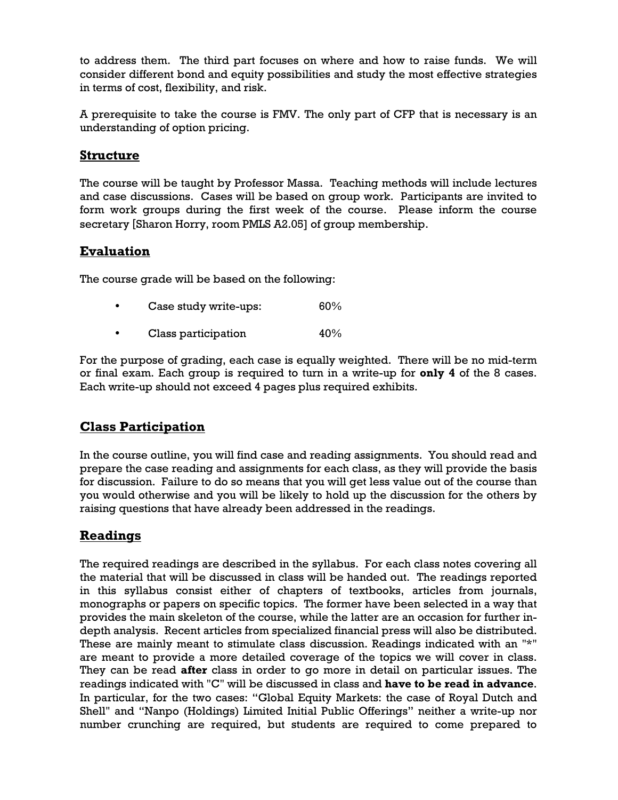to address them. The third part focuses on where and how to raise funds. We will consider different bond and equity possibilities and study the most effective strategies in terms of cost, flexibility, and risk.

A prerequisite to take the course is FMV. The only part of CFP that is necessary is an understanding of option pricing.

# **Structure**

The course will be taught by Professor Massa. Teaching methods will include lectures and case discussions. Cases will be based on group work. Participants are invited to form work groups during the first week of the course. Please inform the course secretary [Sharon Horry, room PMLS A2.05] of group membership.

# **Evaluation**

The course grade will be based on the following:

- Case study write-ups: 60%
- Class participation 40%

For the purpose of grading, each case is equally weighted. There will be no mid-term or final exam. Each group is required to turn in a write-up for **only 4** of the 8 cases. Each write-up should not exceed 4 pages plus required exhibits.

# **Class Participation**

In the course outline, you will find case and reading assignments. You should read and prepare the case reading and assignments for each class, as they will provide the basis for discussion. Failure to do so means that you will get less value out of the course than you would otherwise and you will be likely to hold up the discussion for the others by raising questions that have already been addressed in the readings.

# **Readings**

The required readings are described in the syllabus. For each class notes covering all the material that will be discussed in class will be handed out. The readings reported in this syllabus consist either of chapters of textbooks, articles from journals, monographs or papers on specific topics. The former have been selected in a way that provides the main skeleton of the course, while the latter are an occasion for further indepth analysis. Recent articles from specialized financial press will also be distributed. These are mainly meant to stimulate class discussion. Readings indicated with an "\*" are meant to provide a more detailed coverage of the topics we will cover in class. They can be read **after** class in order to go more in detail on particular issues. The readings indicated with "C" will be discussed in class and **have to be read in advance**. In particular, for the two cases: "Global Equity Markets: the case of Royal Dutch and Shell" and "Nanpo (Holdings) Limited Initial Public Offerings" neither a write-up nor number crunching are required, but students are required to come prepared to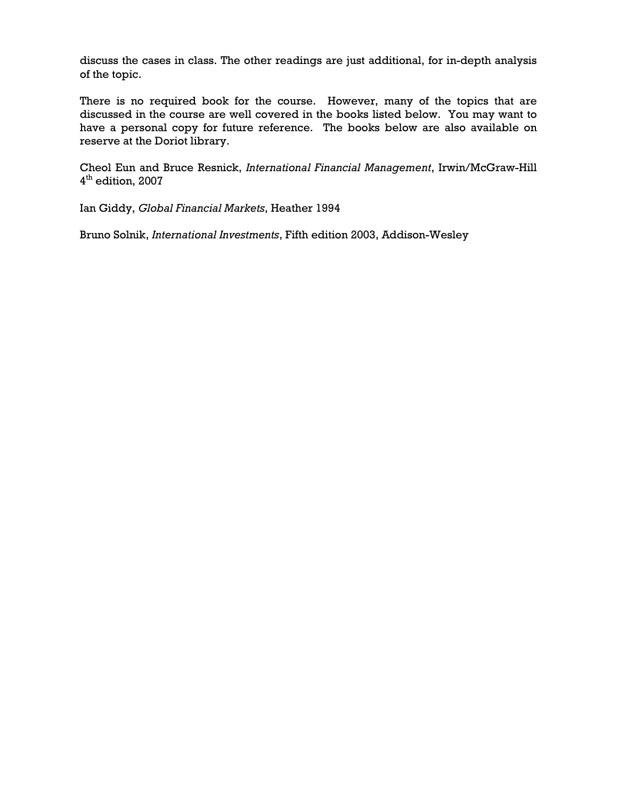discuss the cases in class. The other readings are just additional, for in-depth analysis of the topic.

There is no required book for the course. However, many of the topics that are discussed in the course are well covered in the books listed below. You may want to have a personal copy for future reference. The books below are also available on reserve at the Doriot library.

Cheol Eun and Bruce Resnick, *International Financial Management*, Irwin/McGraw-Hill 4 th edition, 2007

Ian Giddy, *Global Financial Markets*, Heather 1994

Bruno Solnik, *International Investments*, Fifth edition 2003, Addison-Wesley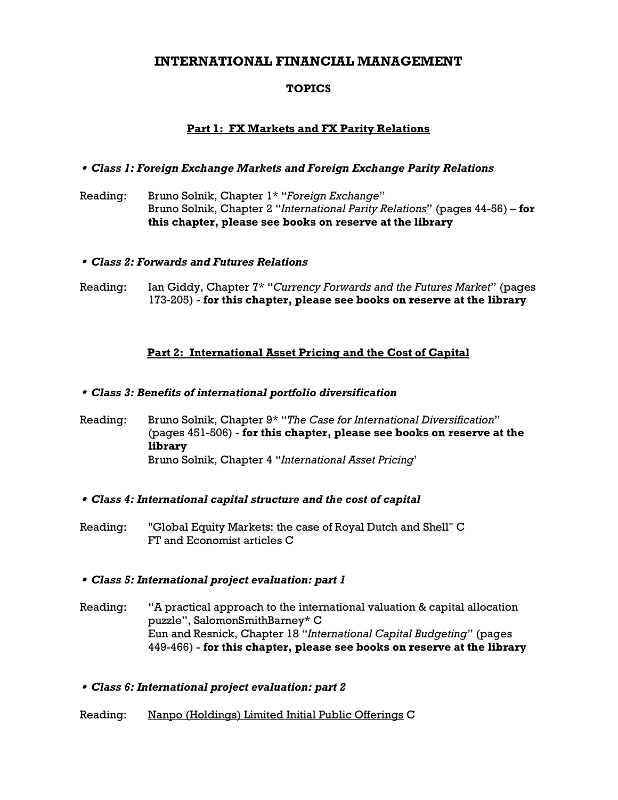# **INTERNATIONAL FINANCIAL MANAGEMENT**

# **TOPICS**

## **Part 1: FX Markets and FX Parity Relations**

## • *Class 1: Foreign Exchange Markets and Foreign Exchange Parity Relations*

Reading: Bruno Solnik, Chapter 1\* "*Foreign Exchange*" Bruno Solnik, Chapter 2 "*International Parity Relations*" (pages 44-56) – **for this chapter, please see books on reserve at the library**

#### • *Class 2: Forwards and Futures Relations*

Reading: Ian Giddy, Chapter 7\* "*Currency Forwards and the Futures Market*" (pages 173-205) - **for this chapter, please see books on reserve at the library**

## **Part 2: International Asset Pricing and the Cost of Capital**

## • *Class 3: Benefits of international portfolio diversification*

Reading: Bruno Solnik, Chapter 9\* "*The Case for International Diversification*" (pages 451-506) - **for this chapter, please see books on reserve at the library** Bruno Solnik, Chapter 4 "*International Asset Pricing*'

#### • *Class 4: International capital structure and the cost of capital*

Reading: "Global Equity Markets: the case of Royal Dutch and Shell" C FT and Economist articles C

## • *Class 5: International project evaluation: part 1*

Reading: "A practical approach to the international valuation & capital allocation puzzle", SalomonSmithBarney\* C Eun and Resnick, Chapter 18 "*International Capital Budgeting*" (pages 449-466) - **for this chapter, please see books on reserve at the library**

• *Class 6: International project evaluation: part 2*

## Reading: Nanpo (Holdings) Limited Initial Public Offerings C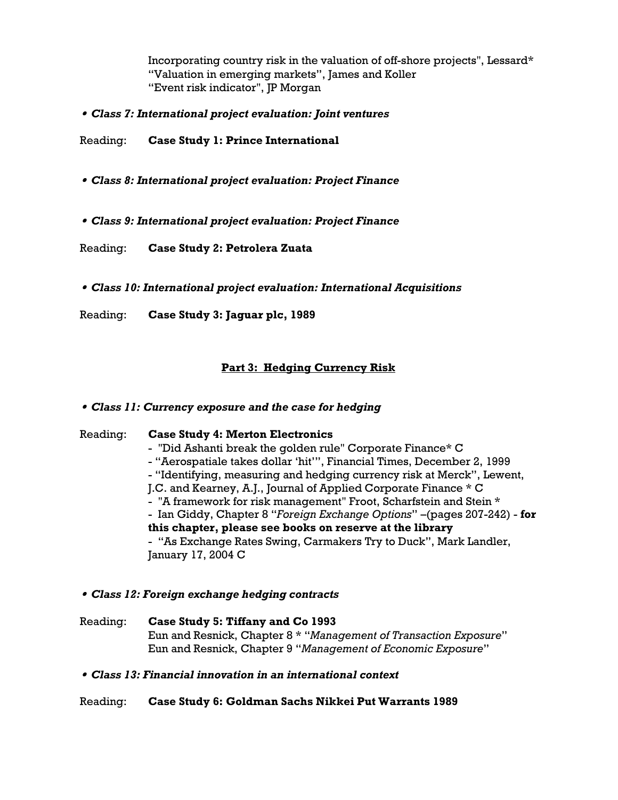Incorporating country risk in the valuation of off-shore projects", Lessard\* "Valuation in emerging markets", James and Koller "Event risk indicator", JP Morgan

• *Class 7: International project evaluation: Joint ventures* 

Reading: **Case Study 1: Prince International** 

- • *Class 8: International project evaluation: Project Finance*
- • *Class 9: International project evaluation: Project Finance*

Reading: **Case Study 2: Petrolera Zuata** 

• *Class 10: International project evaluation: International Acquisitions* 

Reading: **Case Study 3: Jaguar plc, 1989**

## **Part 3: Hedging Currency Risk**

#### • *Class 11: Currency exposure and the case for hedging*

Reading: **Case Study 4: Merton Electronics**  - "Did Ashanti break the golden rule" Corporate Finance\* C - "Aerospatiale takes dollar 'hit'", Financial Times, December 2, 1999 - "Identifying, measuring and hedging currency risk at Merck", Lewent, J.C. and Kearney, A.J., Journal of Applied Corporate Finance \* C - "A framework for risk management" Froot, Scharfstein and Stein \* - Ian Giddy, Chapter 8 "*Foreign Exchange Options*" –(pages 207-242) - **for this chapter, please see books on reserve at the library** - "As Exchange Rates Swing, Carmakers Try to Duck", Mark Landler, January 17, 2004 C

#### • *Class 12: Foreign exchange hedging contracts*

Reading: **Case Study 5: Tiffany and Co 1993** Eun and Resnick, Chapter 8 \* "*Management of Transaction Exposure*" Eun and Resnick, Chapter 9 "*Management of Economic Exposure*"

#### • *Class 13: Financial innovation in an international context*

#### Reading: **Case Study 6: Goldman Sachs Nikkei Put Warrants 1989**